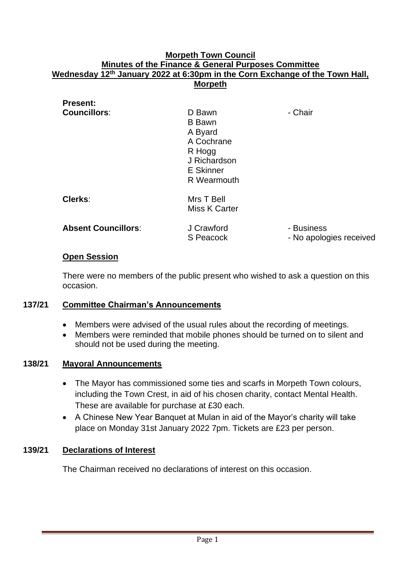### **Morpeth Town Council Minutes of the Finance & General Purposes Committee Wednesday 12th January 2022 at 6:30pm in the Corn Exchange of the Town Hall, Morpeth**

| <b>Present:</b>            |                                                                                                        |                                       |
|----------------------------|--------------------------------------------------------------------------------------------------------|---------------------------------------|
| <b>Councillors:</b>        | D Bawn<br><b>B</b> Bawn<br>A Byard<br>A Cochrane<br>R Hogg<br>J Richardson<br>E Skinner<br>R Wearmouth | - Chair                               |
| Clerks:                    | Mrs T Bell<br>Miss K Carter                                                                            |                                       |
| <b>Absent Councillors:</b> | J Crawford<br>S Peacock                                                                                | - Business<br>- No apologies received |

### **Open Session**

There were no members of the public present who wished to ask a question on this occasion.

# **137/21 Committee Chairman's Announcements**

- Members were advised of the usual rules about the recording of meetings.
- Members were reminded that mobile phones should be turned on to silent and should not be used during the meeting.

#### **138/21 Mayoral Announcements**

- The Mayor has commissioned some ties and scarfs in Morpeth Town colours, including the Town Crest, in aid of his chosen charity, contact Mental Health. These are available for purchase at £30 each.
- A Chinese New Year Banquet at Mulan in aid of the Mayor's charity will take place on Monday 31st January 2022 7pm. Tickets are £23 per person.

# **139/21 Declarations of Interest**

The Chairman received no declarations of interest on this occasion.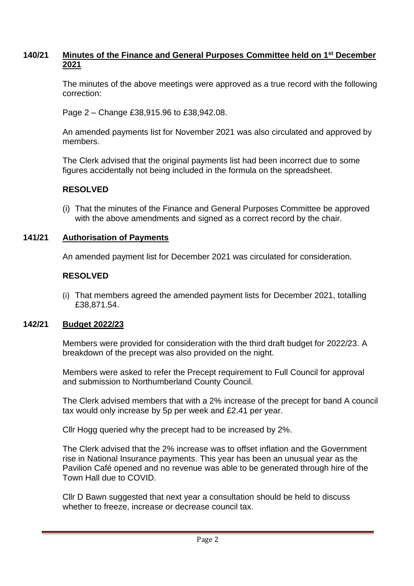# **140/21 Minutes of the Finance and General Purposes Committee held on 1 st December 2021**

The minutes of the above meetings were approved as a true record with the following correction:

Page 2 – Change £38,915.96 to £38,942.08.

An amended payments list for November 2021 was also circulated and approved by members.

The Clerk advised that the original payments list had been incorrect due to some figures accidentally not being included in the formula on the spreadsheet.

# **RESOLVED**

(i) That the minutes of the Finance and General Purposes Committee be approved with the above amendments and signed as a correct record by the chair.

# **141/21 Authorisation of Payments**

An amended payment list for December 2021 was circulated for consideration.

### **RESOLVED**

(i) That members agreed the amended payment lists for December 2021, totalling £38,871.54.

### **142/21 Budget 2022/23**

Members were provided for consideration with the third draft budget for 2022/23. A breakdown of the precept was also provided on the night.

Members were asked to refer the Precept requirement to Full Council for approval and submission to Northumberland County Council.

The Clerk advised members that with a 2% increase of the precept for band A council tax would only increase by 5p per week and £2.41 per year.

Cllr Hogg queried why the precept had to be increased by 2%.

The Clerk advised that the 2% increase was to offset inflation and the Government rise in National Insurance payments. This year has been an unusual year as the Pavilion Café opened and no revenue was able to be generated through hire of the Town Hall due to COVID.

Cllr D Bawn suggested that next year a consultation should be held to discuss whether to freeze, increase or decrease council tax.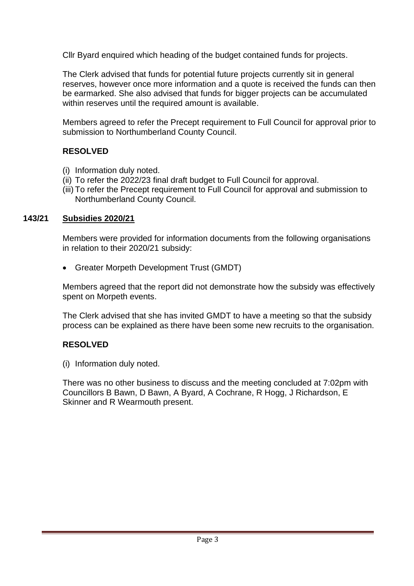Cllr Byard enquired which heading of the budget contained funds for projects.

The Clerk advised that funds for potential future projects currently sit in general reserves, however once more information and a quote is received the funds can then be earmarked. She also advised that funds for bigger projects can be accumulated within reserves until the required amount is available.

Members agreed to refer the Precept requirement to Full Council for approval prior to submission to Northumberland County Council.

# **RESOLVED**

- (i) Information duly noted.
- (ii) To refer the 2022/23 final draft budget to Full Council for approval.
- (iii) To refer the Precept requirement to Full Council for approval and submission to Northumberland County Council.

# **143/21 Subsidies 2020/21**

Members were provided for information documents from the following organisations in relation to their 2020/21 subsidy:

• Greater Morpeth Development Trust (GMDT)

Members agreed that the report did not demonstrate how the subsidy was effectively spent on Morpeth events.

The Clerk advised that she has invited GMDT to have a meeting so that the subsidy process can be explained as there have been some new recruits to the organisation.

# **RESOLVED**

(i) Information duly noted.

There was no other business to discuss and the meeting concluded at 7:02pm with Councillors B Bawn, D Bawn, A Byard, A Cochrane, R Hogg, J Richardson, E Skinner and R Wearmouth present.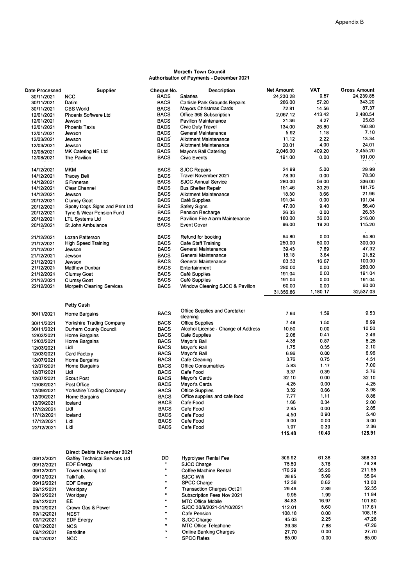#### Morpeth Town Council Authorisation of Payments - December 2021

| Date Processed           | Supplier                         | Cheque No.                 | <b>Description</b>                                       | <b>Net Amount</b> | <b>VAT</b>     | <b>Gross Amount</b> |
|--------------------------|----------------------------------|----------------------------|----------------------------------------------------------|-------------------|----------------|---------------------|
| 30/11/2021               | <b>NCC</b>                       | <b>BACS</b>                | Salaries                                                 | 24.230.28         | 9.57           | 24,239.85           |
| 30/11/2021               | Datim                            | <b>BACS</b>                | Carlisle Park Grounds Repairs                            | 286.00            | 57.20          | 343.20              |
| 30/11/2021               | <b>CBS World</b>                 | <b>BACS</b>                | Mayors Christmas Cards                                   | 72.81             | 14.56          | 87.37               |
| 12/01/2021               | Phoenix Software Ltd             | <b>BACS</b>                | Office 365 Subscription                                  | 2,067.12          | 413.42         | 2,480.54            |
| 12/01/2021               | Jewson                           | <b>BACS</b>                | <b>Pavilion Maintenance</b>                              | 21.36<br>134.00   | 4.27           | 25.63<br>160.80     |
| 12/01/2021               | <b>Phoenix Taxis</b>             | <b>BACS</b>                | Civic Duty Travel                                        | 5.92              | 26.80<br>1.18  | 7.10                |
| 12/01/2021               | Jewson                           | <b>BACS</b><br><b>BACS</b> | General Maintenance<br><b>Allotment Maintenance</b>      | 11.12             | 2.22           | 13.34               |
| 12/03/2021<br>12/03/2021 | Jewson<br>Jewson                 | <b>BACS</b>                | <b>Allotment Maintenance</b>                             | 20.01             | 4.00           | 24.01               |
| 12/08/2021               | MK Catering NE Ltd               | <b>BACS</b>                | Mayor's Ball Catering                                    | 2,046.00          | 409.20         | 2,455.20            |
| 12/08/2021               | The Pavilion                     | <b>BACS</b>                | <b>Civic Events</b>                                      | 191.00            | 0.00           | 191.00              |
|                          |                                  |                            |                                                          |                   |                |                     |
| 14/12/2021               | <b>MKM</b>                       | <b>BACS</b>                | <b>SJCC Repairs</b>                                      | 24.99             | 5.00           | 29.99               |
| 14/12/2021               | <b>Tracey Bell</b>               | <b>BACS</b>                | Travel November 2021                                     | 78.30             | 0.00           | 78.30               |
| 14/12/2021               | S Finneran                       | <b>BACS</b>                | <b>SJCC Annual Service</b>                               | 280.00            | 56.00          | 336.00              |
| 14/12/2021               | Clear Channel                    | <b>BACS</b>                | <b>Bus Shelter Repair</b>                                | 151.46            | 30.29          | 181.75              |
| 14/12/2021               | Jewson                           | <b>BACS</b>                | <b>Allotment Maintenance</b>                             | 18.30             | 3.66           | 21.96               |
| 20/12/2021               | <b>Clumsy Goat</b>               | <b>BACS</b>                | Café Supplies                                            | 191.04            | 0.00           | 191.04              |
| 20/12/2021               | Spotly Dogs Signs and Print Ltd  | <b>BACS</b>                | Safety Signs                                             | 47.00             | 9.40           | 56.40               |
| 20/12/2021               | Tyne & Wear Pension Fund         | <b>BACS</b>                | Pension Recharge                                         | 26.33             | 0.00           | 26.33<br>216.00     |
| 20/12/2021               | <b>LTL Systems Ltd</b>           | <b>BACS</b>                | Pavilion Fire Alarm Maintenance                          | 180.00<br>96.00   | 36.00<br>19.20 | 115.20              |
| 20/12/2021               | St John Ambulance                | <b>BACS</b>                | <b>Event Cover</b>                                       |                   |                |                     |
| 21/12/2021               | Lozan Patterson                  | <b>BACS</b>                | Refund for booking                                       | 64.80             | 0.00           | 64.80               |
| 21/12/2021               | <b>High Speed Training</b>       | <b>BACS</b>                | Cafe Staff Training                                      | 250.00            | 50.00          | 300.00              |
| 21/12/2021               | Jewson                           | <b>BACS</b>                | General Maintenance                                      | 39.43             | 7.89           | 47.32               |
| 21/12/2021               | Jewson                           | <b>BACS</b>                | General Maintenance                                      | 18.18             | 3.64           | 21.82               |
| 21/12/2021               | Jewson                           | <b>BACS</b>                | General Maintenance                                      | 83.33             | 16.67          | 100,00              |
| 21/12/2021               | Matthew Dunbar                   | <b>BACS</b>                | Entertainment                                            | 280.00            | 0.00           | 280.00              |
| 21/12/2021               | <b>Clumsy Goat</b>               | <b>BACS</b>                | Café Supplies                                            | 191.04            | 0.00           | 191.04              |
| 21/12/2021               | <b>Clumsy Goat</b>               | <b>BACS</b>                | Café Supplies                                            | 191.04            | 0.00           | 191.04              |
| 22/12/2021               | <b>Morpeth Cleaning Services</b> | <b>BACS</b>                | Window Cleaning SJCC & Pavilion                          | 60.00             | 0.00           | 60.00               |
|                          |                                  |                            |                                                          | 31,356.86         | 1,180.17       | 32,537.03           |
|                          |                                  |                            |                                                          |                   |                |                     |
|                          | <b>Petty Cash</b>                |                            | Office Supplies and Caretaker                            |                   |                |                     |
| 30/11/2021               | Home Bargains                    | <b>BACS</b>                | cleaning                                                 | 7.94              | 1.59           | 9.53                |
| 30/11/2021               | Yorkshire Trading Company        | <b>BACS</b>                | <b>Office Supplies</b>                                   | 7.49              | 1.50           | 8.99                |
| 30/11/2021               | Durham County Council            | <b>BACS</b>                | Alcohol License - Change of Address                      | 10.50             | 0.00           | 10.50               |
| 12/02/2021               | Home Bargains                    | <b>BACS</b>                | Cafe Supplies                                            | 2.08              | 0.41           | 2.49                |
| 12/03/2021               | Home Bargains                    | <b>BACS</b>                | Mayor's Ball                                             | 4.38              | 0.87           | 5.25                |
| 12/03/2021               | Lidl                             | <b>BACS</b>                | Mayor's Ball                                             | 1.75              | 0.35           | 2.10                |
| 12/03/2021               | Card Factory                     | <b>BACS</b>                | Mayor's Ball                                             | 6.96              | 0.00           | 6.96                |
| 12/07/2021               | Home Bargains                    | <b>BACS</b>                | Cafe Cleaning                                            | 3.76              | 0.75           | 4.51                |
| 12/07/2021               | Home Bargains                    | <b>BACS</b>                | Office Consumables                                       | 5.83              | 1.17           | 7.00                |
| 12/07/2021               | Lidl                             | <b>BACS</b>                | Cafe Food                                                | 3.37              | 0.39           | 3.76                |
| 12/07/2021               | Scout Post                       | <b>BACS</b>                | Mayor's Cards                                            | 32.10             | 0.00           | 32.10               |
| 12/08/2021               | Post Office                      | <b>BACS</b>                | Mayor's Cards                                            | 4.25              | 0.00           | 4.25                |
| 12/09/2021               | Yorkshire Trading Company        | <b>BACS</b>                | <b>Office Supplies</b>                                   | 3.32              | 0.66           | 3.98                |
| 12/09/2021               | Home Bargains                    | <b>BACS</b>                | Office supplies and cafe food                            | 7.77              | 1.11           | 8.88                |
| 12/09/2021               | Iceland                          | BACS                       | Cafe Food                                                | 1.66              | 0.34           | 2.00<br>2.85        |
| 17/12/2021               | Lidl                             | <b>BACS</b><br><b>BACS</b> | Cafe Food                                                | 2.85<br>4.50      | 0.00<br>0.90   | 5.40                |
| 17/12/2021               | Iceland<br>Lidl                  | <b>BACS</b>                | Cafe Food<br>Cafe Food                                   | 3.00              | 0.00           | 3.00                |
| 17/12/2021<br>22/12/2021 | Lidl                             | <b>BACS</b>                | Cafe Food                                                | 1.97              | 0.39           | 2.36                |
|                          |                                  |                            |                                                          | 115.48            | 10.43          | 125.91              |
|                          |                                  |                            |                                                          |                   |                |                     |
|                          |                                  |                            |                                                          |                   |                |                     |
|                          | Direct Debits November 2021      |                            |                                                          |                   |                |                     |
| 09/12/2021               | Gaffey Technical Services Ltd    | DD                         | <b>Hyprolyser Rental Fee</b>                             | 306.92            | 61.38          | 368.30              |
| 09/12/2021               | <b>EDF Energy</b>                | Ħ.<br>u,                   | <b>SJCC Charge</b>                                       | 75.50             | 3.78           | 79.28               |
| 09/12/2021               | Tower Leasing Ltd                | o,                         | Coffee Machine Rental                                    | 176.29            | 35.26          | 211.55              |
| 09/12/2021               | TalkTalk                         | $\mathbf{u}$               | <b>SJCC Wifi</b>                                         | 29.95             | 5.99           | 35.94               |
| 09/12/2021               | <b>EDF Energy</b>                | $\mathbf{H}$               | <b>SPCC Charge</b>                                       | 12.38             | 0.62           | 13.00               |
| 09/12/2021               | Worldpay                         | $\mathbf{u}$               | Transaction Charges Oct 21<br>Subscription Fees Nov 2021 | 29.46<br>9.95     | 2.89<br>1.99   | 32.35<br>11.94      |
| 09/12/2021               | Worldpay<br>EE                   | ĸ                          | MTC Office Mobile                                        | 84.83             | 16.97          | 101.80              |
| 09/12/2021<br>09/12/2021 | Crown Gas & Power                | $\blacksquare$             | SJCC 30/9/2021-31/10/2021                                | 112.01            | 5.60           | 117.61              |
| 09/12/2021               | <b>NEST</b>                      | n,                         | Cafe Pension                                             | 108.18            | 0.00           | 108.18              |
| 09/12/2021               | <b>EDF Energy</b>                | $\pmb{\mathsf{u}}$         | SJCC Charge                                              | 45.03             | 2.25           | 47.28               |
| 09/12/2021               | <b>NCS</b>                       | $\mathbf{u}$               | MTC Office Telephone                                     | 39.38             | 7.88           | 47.26               |
| 09/12/2021               | <b>Bankline</b>                  | Ħ                          | Online Banking Charges                                   | 27.70             | 0.00           | 27.70               |
| 09/12/2021               | <b>NCC</b>                       | $\mathbf{H}$               | <b>SPCC Rates</b>                                        | 85.00             | 0.00           | 85.00               |